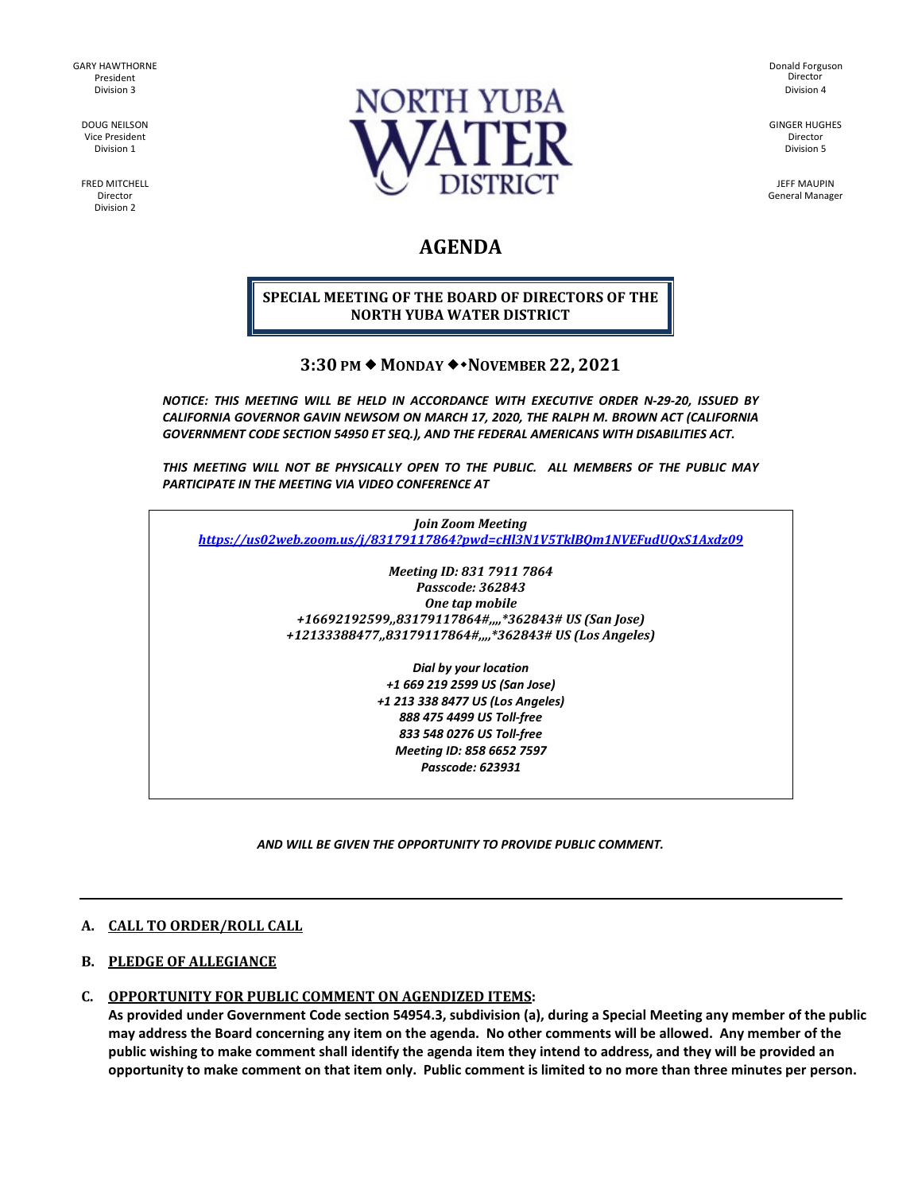GARY HAWTHORNE President Division 3

DOUG NEILSON Vice President Division 1

FRED MITCHELL Director Division 2



Donald Forguson Division 4 Director

GINGER HUGHES Director Division 5

JEFF MAUPIN General Manager

# **AGENDA**

#### **SPECIAL MEETING OF THE BOARD OF DIRECTORS OF THE NORTH YUBA WATER DISTRICT**

## **3:30 PM MONDAY NOVEMBER 22, 2021**

*NOTICE: THIS MEETING WILL BE HELD IN ACCORDANCE WITH EXECUTIVE ORDER N-29-20, ISSUED BY CALIFORNIA GOVERNOR GAVIN NEWSOM ON MARCH 17, 2020, THE RALPH M. BROWN ACT (CALIFORNIA GOVERNMENT CODE SECTION 54950 ET SEQ.), AND THE FEDERAL AMERICANS WITH DISABILITIES ACT.* 

*THIS MEETING WILL NOT BE PHYSICALLY OPEN TO THE PUBLIC. ALL MEMBERS OF THE PUBLIC MAY PARTICIPATE IN THE MEETING VIA VIDEO CONFERENCE AT* 

*Join Zoom Meeting <https://us02web.zoom.us/j/83179117864?pwd=cHl3N1V5TklBQm1NVEFudUQxS1Axdz09>*

> *Meeting ID: 831 7911 7864 Passcode: 362843 One tap mobile +16692192599,,83179117864#,,,,\*362843# US (San Jose) +12133388477,,83179117864#,,,,\*362843# US (Los Angeles)*

> > *Dial by your location +1 669 219 2599 US (San Jose) +1 213 338 8477 US (Los Angeles) 888 475 4499 US Toll-free 833 548 0276 US Toll-free Meeting ID: 858 6652 7597 Passcode: 623931*

*AND WILL BE GIVEN THE OPPORTUNITY TO PROVIDE PUBLIC COMMENT.* 

#### **A. CALL TO ORDER/ROLL CALL**

#### **B. PLEDGE OF ALLEGIANCE**

#### **C. OPPORTUNITY FOR PUBLIC COMMENT ON AGENDIZED ITEMS:**

**As provided under Government Code section 54954.3, subdivision (a), during a Special Meeting any member of the public may address the Board concerning any item on the agenda. No other comments will be allowed. Any member of the public wishing to make comment shall identify the agenda item they intend to address, and they will be provided an opportunity to make comment on that item only. Public comment is limited to no more than three minutes per person.**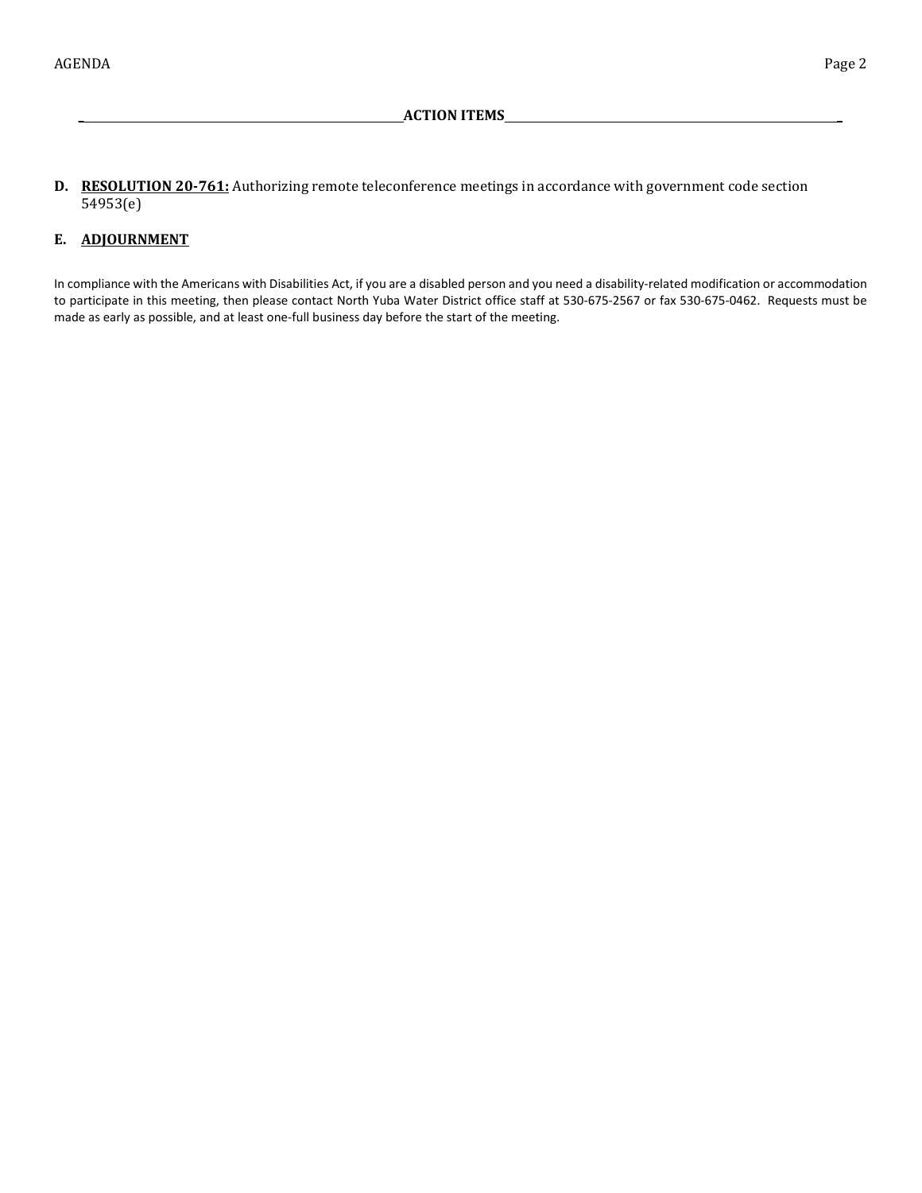**D. RESOLUTION 20-761:** Authorizing remote teleconference meetings in accordance with government code section 54953(e)

## **E. ADJOURNMENT**

In compliance with the Americans with Disabilities Act, if you are a disabled person and you need a disability-related modification or accommodation to participate in this meeting, then please contact North Yuba Water District office staff at 530-675-2567 or fax 530-675-0462. Requests must be made as early as possible, and at least one-full business day before the start of the meeting.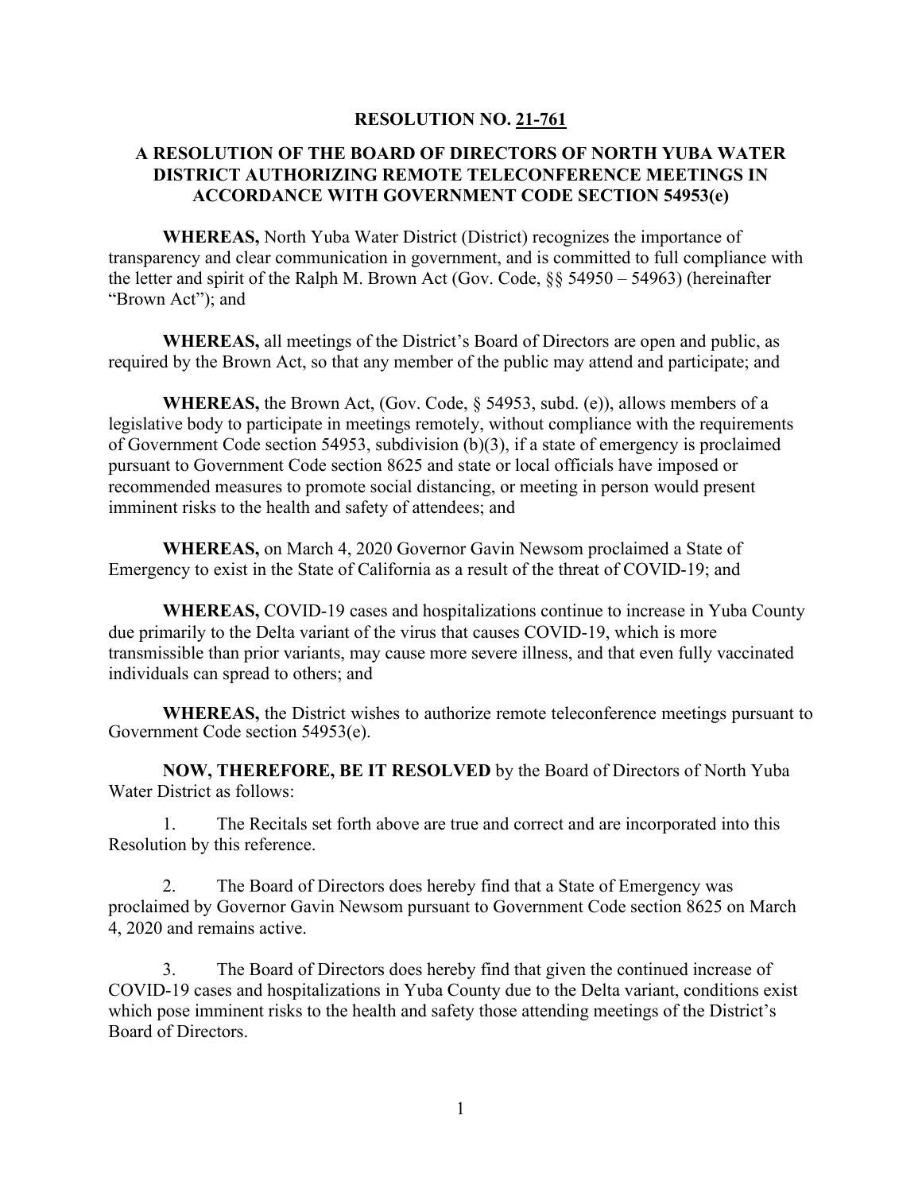## **RESOLUTION NO. 21-761**

# **A RESOLUTION OF THE BOARD OF DIRECTORS OF NORTH YUBA WATER DISTRICT AUTHORIZING REMOTE TELECONFERENCE MEETINGS IN ACCORDANCE WITH GOVERNMENT CODE SECTION 54953(e)**

**WHEREAS,** North Yuba Water District (District) recognizes the importance of transparency and clear communication in government, and is committed to full compliance with the letter and spirit of the Ralph M. Brown Act (Gov. Code, §§ 54950 – 54963) (hereinafter "Brown Act"); and

**WHEREAS,** all meetings of the District's Board of Directors are open and public, as required by the Brown Act, so that any member of the public may attend and participate; and

**WHEREAS,** the Brown Act, (Gov. Code, § 54953, subd. (e)), allows members of a legislative body to participate in meetings remotely, without compliance with the requirements of Government Code section 54953, subdivision (b)(3), if a state of emergency is proclaimed pursuant to Government Code section 8625 and state or local officials have imposed or recommended measures to promote social distancing, or meeting in person would present imminent risks to the health and safety of attendees; and

**WHEREAS,** on March 4, 2020 Governor Gavin Newsom proclaimed a State of Emergency to exist in the State of California as a result of the threat of COVID-19; and

**WHEREAS,** COVID-19 cases and hospitalizations continue to increase in Yuba County due primarily to the Delta variant of the virus that causes COVID-19, which is more transmissible than prior variants, may cause more severe illness, and that even fully vaccinated individuals can spread to others; and

**WHEREAS,** the District wishes to authorize remote teleconference meetings pursuant to Government Code section 54953(e).

**NOW, THEREFORE, BE IT RESOLVED** by the Board of Directors of North Yuba Water District as follows:

1. The Recitals set forth above are true and correct and are incorporated into this Resolution by this reference.

2. The Board of Directors does hereby find that a State of Emergency was proclaimed by Governor Gavin Newsom pursuant to Government Code section 8625 on March 4, 2020 and remains active.

3. The Board of Directors does hereby find that given the continued increase of COVID-19 cases and hospitalizations in Yuba County due to the Delta variant, conditions exist which pose imminent risks to the health and safety those attending meetings of the District's Board of Directors.